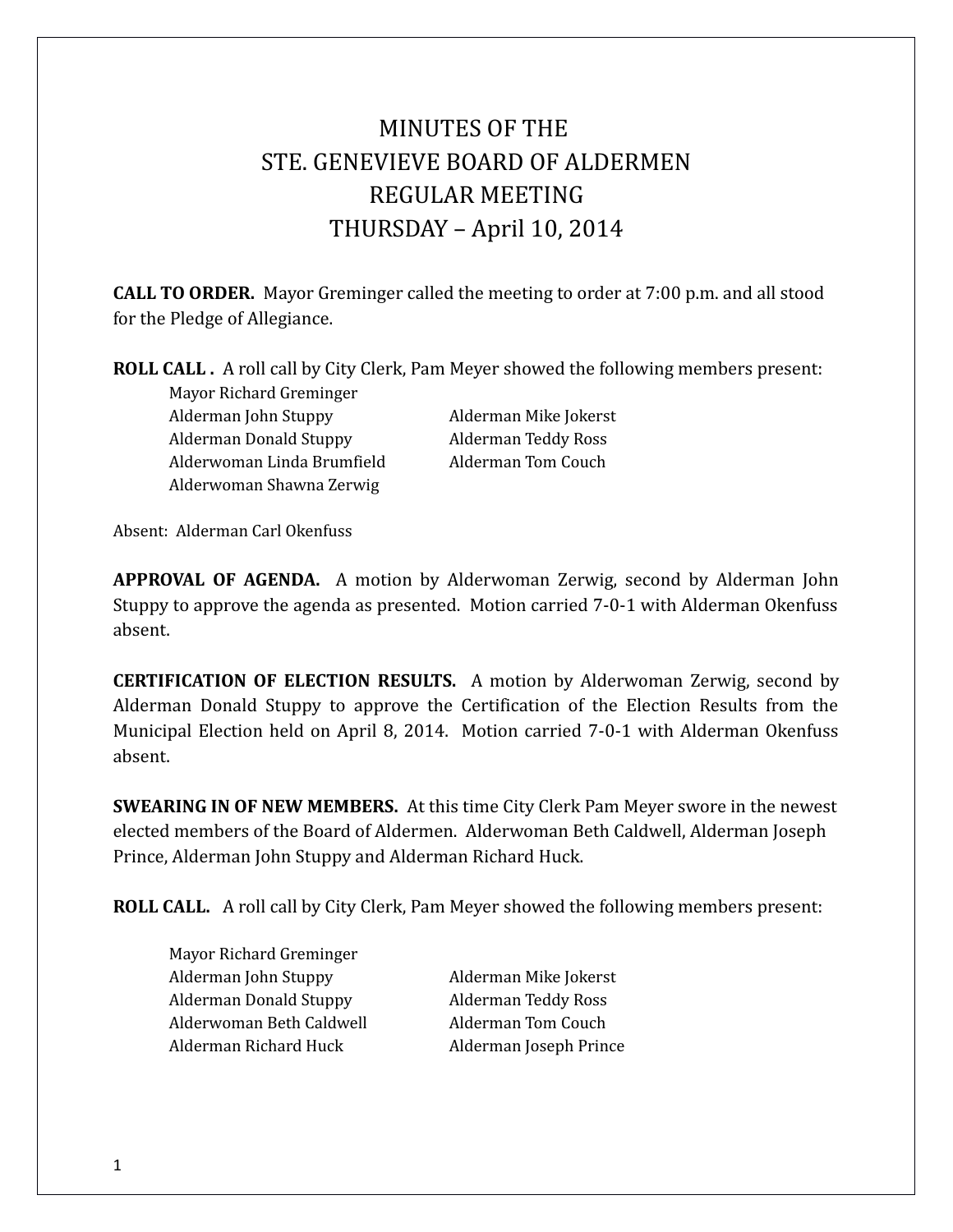# MINUTES OF THE STE. GENEVIEVE BOARD OF ALDERMEN REGULAR MEETING THURSDAY – April 10, 2014

**CALL TO ORDER.** Mayor Greminger called the meeting to order at 7:00 p.m. and all stood for the Pledge of Allegiance.

### **ROLL CALL .** A roll call by City Clerk, Pam Meyer showed the following members present:

Mayor Richard Greminger Alderman John Stuppy Alderman Mike Jokerst Alderman Donald Stuppy Alderman Teddy Ross Alderwoman Linda Brumfield Alderman Tom Couch Alderwoman Shawna Zerwig

Absent: Alderman Carl Okenfuss

**APPROVAL OF AGENDA.** A motion by Alderwoman Zerwig, second by Alderman John Stuppy to approve the agenda as presented. Motion carried 7-0-1 with Alderman Okenfuss absent.

**CERTIFICATION OF ELECTION RESULTS.** A motion by Alderwoman Zerwig, second by Alderman Donald Stuppy to approve the Certification of the Election Results from the Municipal Election held on April 8, 2014. Motion carried 7-0-1 with Alderman Okenfuss absent.

**SWEARING IN OF NEW MEMBERS.** At this time City Clerk Pam Meyer swore in the newest elected members of the Board of Aldermen. Alderwoman Beth Caldwell, Alderman Joseph Prince, Alderman John Stuppy and Alderman Richard Huck.

**ROLL CALL.** A roll call by City Clerk, Pam Meyer showed the following members present:

Mayor Richard Greminger Alderman John Stuppy Alderman Mike Jokerst Alderman Donald Stuppy Alderman Teddy Ross Alderwoman Beth Caldwell **Alderman Tom Couch** Alderman Richard Huck Alderman Joseph Prince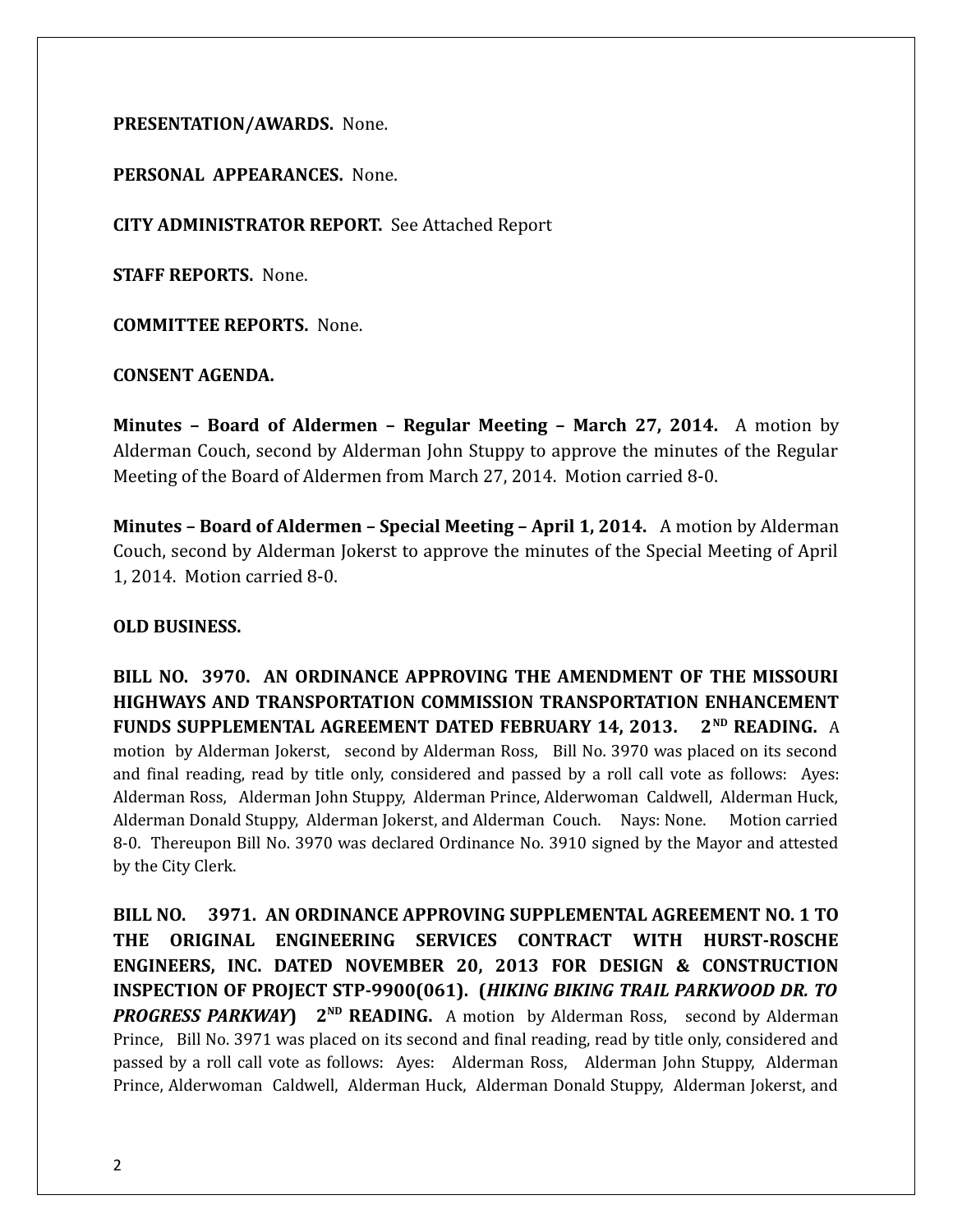#### **PRESENTATION/AWARDS.** None.

## **PERSONAL APPEARANCES.** None.

**CITY ADMINISTRATOR REPORT.** See Attached Report

**STAFF REPORTS.** None.

**COMMITTEE REPORTS.** None.

**CONSENT AGENDA.** 

**Minutes – Board of Aldermen – Regular Meeting – March 27, 2014.** A motion by Alderman Couch, second by Alderman John Stuppy to approve the minutes of the Regular Meeting of the Board of Aldermen from March 27, 2014. Motion carried 8-0.

**Minutes – Board of Aldermen – Special Meeting – April 1, 2014.** A motion by Alderman Couch, second by Alderman Jokerst to approve the minutes of the Special Meeting of April 1, 2014. Motion carried 8-0.

#### **OLD BUSINESS.**

**BILL NO. 3970. AN ORDINANCE APPROVING THE AMENDMENT OF THE MISSOURI HIGHWAYS AND TRANSPORTATION COMMISSION TRANSPORTATION ENHANCEMENT FUNDS SUPPLEMENTAL AGREEMENT DATED FEBRUARY 14, 2013. 2ND READING.** A motion by Alderman Jokerst, second by Alderman Ross, Bill No. 3970 was placed on its second and final reading, read by title only, considered and passed by a roll call vote as follows: Ayes: Alderman Ross, Alderman John Stuppy, Alderman Prince, Alderwoman Caldwell, Alderman Huck, Alderman Donald Stuppy, Alderman Jokerst, and Alderman Couch. Nays: None. Motion carried 8-0. Thereupon Bill No. 3970 was declared Ordinance No. 3910 signed by the Mayor and attested by the City Clerk.

**BILL NO. 3971. AN ORDINANCE APPROVING SUPPLEMENTAL AGREEMENT NO. 1 TO THE ORIGINAL ENGINEERING SERVICES CONTRACT WITH HURST-ROSCHE ENGINEERS, INC. DATED NOVEMBER 20, 2013 FOR DESIGN & CONSTRUCTION INSPECTION OF PROJECT STP-9900(061). (***HIKING BIKING TRAIL PARKWOOD DR. TO PROGRESS PARKWAY* 2<sup>ND</sup> **READING.** A motion by Alderman Ross, second by Alderman Prince, Bill No. 3971 was placed on its second and final reading, read by title only, considered and passed by a roll call vote as follows: Ayes: Alderman Ross, Alderman John Stuppy, Alderman Prince, Alderwoman Caldwell, Alderman Huck, Alderman Donald Stuppy, Alderman Jokerst, and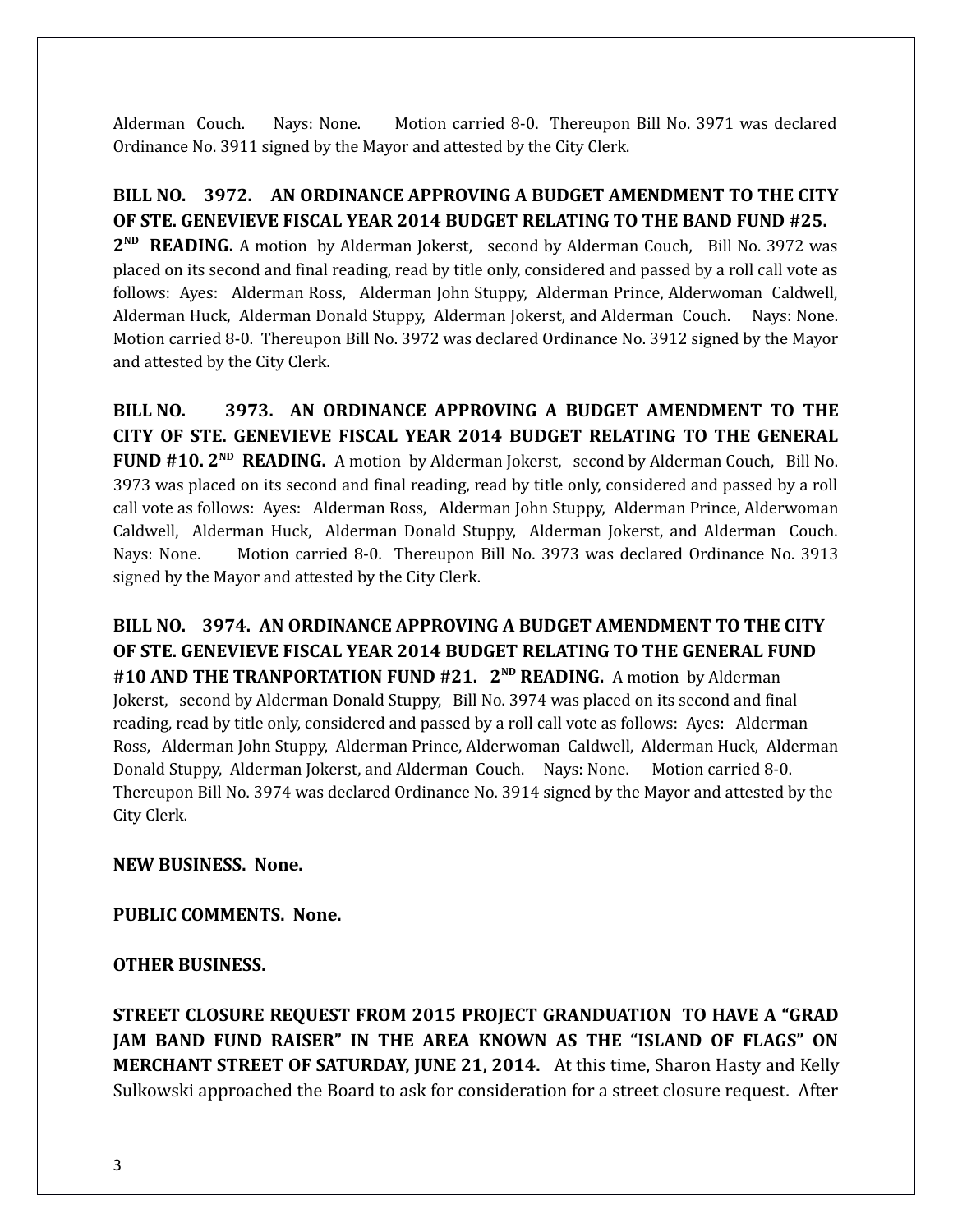Alderman Couch. Nays: None. Motion carried 8-0. Thereupon Bill No. 3971 was declared Ordinance No. 3911 signed by the Mayor and attested by the City Clerk.

# **BILL NO. 3972. AN ORDINANCE APPROVING A BUDGET AMENDMENT TO THE CITY OF STE. GENEVIEVE FISCAL YEAR 2014 BUDGET RELATING TO THE BAND FUND #25.**

2<sup>ND</sup> READING. A motion by Alderman Jokerst, second by Alderman Couch, Bill No. 3972 was placed on its second and final reading, read by title only, considered and passed by a roll call vote as follows: Ayes: Alderman Ross, Alderman John Stuppy, Alderman Prince, Alderwoman Caldwell, Alderman Huck, Alderman Donald Stuppy, Alderman Jokerst, and Alderman Couch. Nays: None. Motion carried 8-0. Thereupon Bill No. 3972 was declared Ordinance No. 3912 signed by the Mayor and attested by the City Clerk.

**BILL NO. 3973. AN ORDINANCE APPROVING A BUDGET AMENDMENT TO THE CITY OF STE. GENEVIEVE FISCAL YEAR 2014 BUDGET RELATING TO THE GENERAL FUND #10. 2ND READING.** A motion by Alderman Jokerst, second by Alderman Couch, Bill No. 3973 was placed on its second and final reading, read by title only, considered and passed by a roll call vote as follows: Ayes: Alderman Ross, Alderman John Stuppy, Alderman Prince, Alderwoman Caldwell, Alderman Huck, Alderman Donald Stuppy, Alderman Jokerst, and Alderman Couch. Nays: None. Motion carried 8-0. Thereupon Bill No. 3973 was declared Ordinance No. 3913 signed by the Mayor and attested by the City Clerk.

**BILL NO. 3974. AN ORDINANCE APPROVING A BUDGET AMENDMENT TO THE CITY OF STE. GENEVIEVE FISCAL YEAR 2014 BUDGET RELATING TO THE GENERAL FUND**  #10 AND THE TRANPORTATION FUND #21. 2<sup>ND</sup> READING. A motion by Alderman Jokerst, second by Alderman Donald Stuppy, Bill No. 3974 was placed on its second and final reading, read by title only, considered and passed by a roll call vote as follows: Ayes: Alderman Ross, Alderman John Stuppy, Alderman Prince, Alderwoman Caldwell, Alderman Huck, Alderman Donald Stuppy, Alderman Jokerst, and Alderman Couch. Nays: None. Motion carried 8-0. Thereupon Bill No. 3974 was declared Ordinance No. 3914 signed by the Mayor and attested by the City Clerk.

# **NEW BUSINESS. None.**

#### **PUBLIC COMMENTS. None.**

#### **OTHER BUSINESS.**

**STREET CLOSURE REQUEST FROM 2015 PROJECT GRANDUATION TO HAVE A "GRAD JAM BAND FUND RAISER" IN THE AREA KNOWN AS THE "ISLAND OF FLAGS" ON MERCHANT STREET OF SATURDAY, JUNE 21, 2014.** At this time, Sharon Hasty and Kelly Sulkowski approached the Board to ask for consideration for a street closure request. After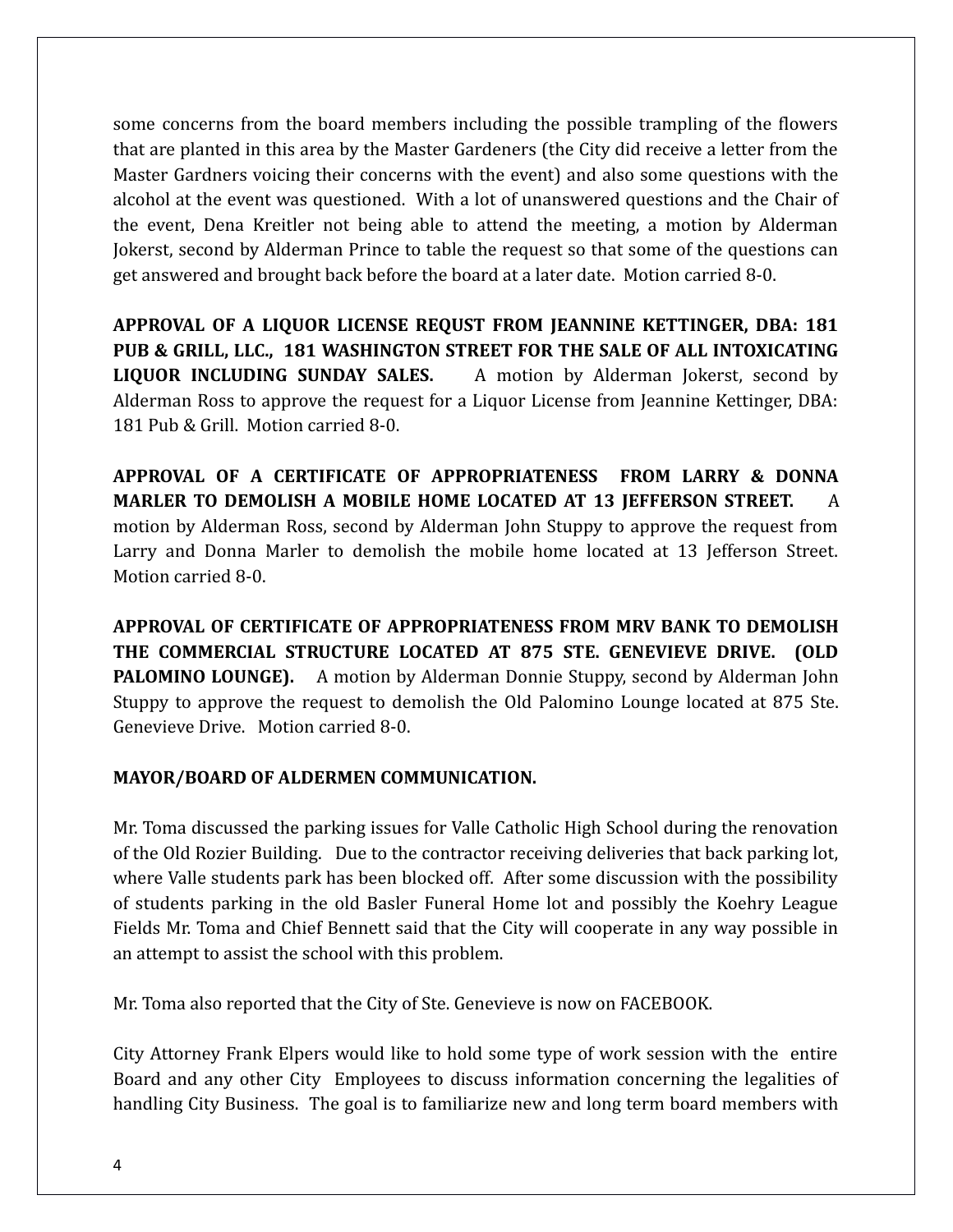some concerns from the board members including the possible trampling of the flowers that are planted in this area by the Master Gardeners (the City did receive a letter from the Master Gardners voicing their concerns with the event) and also some questions with the alcohol at the event was questioned. With a lot of unanswered questions and the Chair of the event, Dena Kreitler not being able to attend the meeting, a motion by Alderman Jokerst, second by Alderman Prince to table the request so that some of the questions can get answered and brought back before the board at a later date. Motion carried 8-0.

**APPROVAL OF A LIQUOR LICENSE REQUST FROM JEANNINE KETTINGER, DBA: 181 PUB & GRILL, LLC., 181 WASHINGTON STREET FOR THE SALE OF ALL INTOXICATING LIQUOR INCLUDING SUNDAY SALES.** A motion by Alderman Jokerst, second by Alderman Ross to approve the request for a Liquor License from Jeannine Kettinger, DBA: 181 Pub & Grill. Motion carried 8-0.

**APPROVAL OF A CERTIFICATE OF APPROPRIATENESS FROM LARRY & DONNA MARLER TO DEMOLISH A MOBILE HOME LOCATED AT 13 JEFFERSON STREET.** A motion by Alderman Ross, second by Alderman John Stuppy to approve the request from Larry and Donna Marler to demolish the mobile home located at 13 Jefferson Street. Motion carried 8-0.

**APPROVAL OF CERTIFICATE OF APPROPRIATENESS FROM MRV BANK TO DEMOLISH THE COMMERCIAL STRUCTURE LOCATED AT 875 STE. GENEVIEVE DRIVE. (OLD PALOMINO LOUNGE).** A motion by Alderman Donnie Stuppy, second by Alderman John Stuppy to approve the request to demolish the Old Palomino Lounge located at 875 Ste. Genevieve Drive. Motion carried 8-0.

# **MAYOR/BOARD OF ALDERMEN COMMUNICATION.**

Mr. Toma discussed the parking issues for Valle Catholic High School during the renovation of the Old Rozier Building. Due to the contractor receiving deliveries that back parking lot, where Valle students park has been blocked off. After some discussion with the possibility of students parking in the old Basler Funeral Home lot and possibly the Koehry League Fields Mr. Toma and Chief Bennett said that the City will cooperate in any way possible in an attempt to assist the school with this problem.

Mr. Toma also reported that the City of Ste. Genevieve is now on FACEBOOK.

City Attorney Frank Elpers would like to hold some type of work session with the entire Board and any other City Employees to discuss information concerning the legalities of handling City Business. The goal is to familiarize new and long term board members with